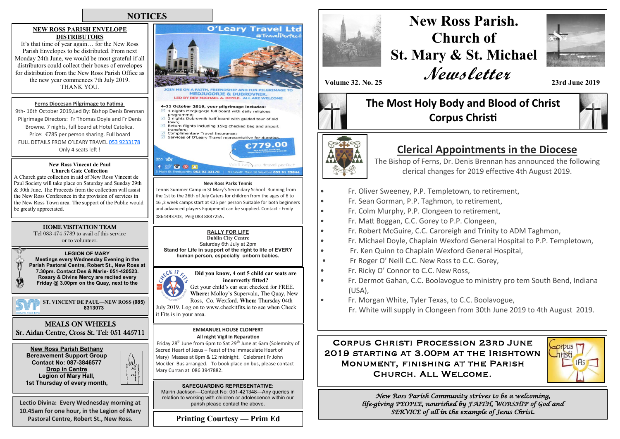## **NOTICES**

### **NEW ROSS PARISH ENVELOPE DISTRIBUTORS**

It's that time of year again… for the New Ross Parish Envelopes to be distributed. From next Monday 24th June, we would be most grateful if all distributors could collect their boxes of envelopes for distribution from the New Ross Parish Office as the new year commences 7th July 2019. THANK YOU.

### **Ferns Diocesan Pilgrimage to Fatima**

9th- 16th October 2019,Led By: Bishop Denis Brennan Pilgrimage Directors: Fr Thomas Doyle and Fr Denis Browne. 7 nights, full board at Hotel Catolica. Price: €785 per person sharing. Full board FULL DETAILS FROM O'LEARY TRAVEL [053 9233178](tel:053%209233178) Only 4 seats left !

#### **New Ross Vincent de Paul Church Gate Collection**

A Church gate collection in aid of New Ross Vincent de Paul Society will take place on Saturday and Sunday 29th & 30th June. The Proceeds from the collection will assist the New Ross Conference in the provision of services in the New Ross Town area. The support of the Public would be greatly appreciated.

### HOME VISITATION TEAM

Tel 083 474 5789 to avail of this service or to volunteer.

**LEGION OF MARY Meetings every Wednesday Evening in the Parish Pastoral Centre, Robert St., New Ross at 7.30pm. Contact Des & Marie- 051-420523. Rosary & Divine Mercy are recited every Friday @ 3.00pm on the Quay, next to the** 

**ST. VINCENT DE PAUL—NEW ROSS (085) 8313073**



**New Ross Parish Bethany Bereavement Support Group Contact No: 087-3846577 Drop in Centre Legion of Mary Hall,<br>1st Thursday of every month.** 

**Lectio Divina: Every Wednesday morning at 10.45am for one hour, in the Legion of Mary Pastoral Centre, Robert St., New Ross.**



**SAFEGUARDING REPRESENTATIVE:** Mairin Jackson—Contact No: 051-421348—Any queries in relation to working with children or adolescence within our

Mary Curran at 086 3947882.

parish please contact the above. **Printing Courtesy — Prim Ed**

# **New Ross Parish. Church of St. Mary & St. Michael Newsletter**



**Volume 32. No. 25 23rd June 2019**

# **The Most Holy Body and Blood of Christ Corpus Christi**



# **Clerical Appointments in the Diocese**

The Bishop of Ferns, Dr. Denis Brennan has announced the following clerical changes for 2019 effective 4th August 2019.

- Fr. Oliver Sweeney, P.P. Templetown, to retirement,
- Fr. Sean Gorman, P.P. Taghmon, to retirement,
- Fr. Colm Murphy, P.P. Clongeen to retirement,
- Fr. Matt Boggan, C.C. Gorey to P.P. Clongeen,
- Fr. Robert McGuire, C.C. Caroreigh and Trinity to ADM Taghmon,
- Fr. Michael Doyle, Chaplain Wexford General Hospital to P.P. Templetown,
- Fr. Ken Quinn to Chaplain Wexford General Hospital,
- Fr Roger O' Neill C.C. New Ross to C.C. Gorey,
- Fr. Ricky O' Connor to C.C. New Ross,
- Fr. Dermot Gahan, C.C. Boolavogue to ministry pro tem South Bend, Indiana (USA),
- Fr. Morgan White, Tyler Texas, to C.C. Boolavogue,
	- Fr. White will supply in Clongeen from 30th June 2019 to 4th August 2019.

## Corpus Christi Procession 23rd June 2019 starting at 3.00pm at the Irishtown Monument, finishing at the Parish Church. All Welcome.



*New Ross Parish Community strives to be a welcoming, life-giving PEOPLE, nourished by FAITH, WORSHIP of God and SERVICE of all in the example of Jesus Christ.*